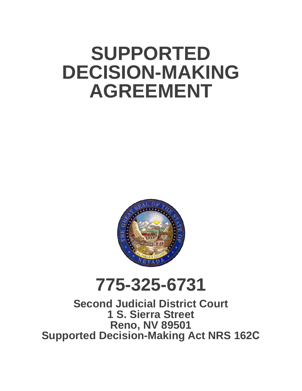# **SUPPORTED DECISION-MAKING AGREEMENT**



# **775-325-6731**

**Second Judicial District Court 1 S. Sierra Street Reno, NV 89501 Supported Decision-Making Act NRS 162C**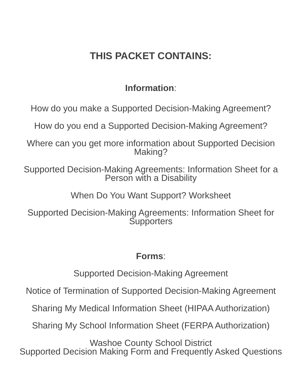## **THIS PACKET CONTAINS:**

## **Information**:

[How do you make a Supported Decision-Making Agreement?](#page-2-0)

How do you end [a Supported Decision-Making Agreement?](#page-3-0)

Where can you get more information about Supported Decision Making?

[Supported Decision-Making Agreements: Information Sheet for a](#page-6-0)  Person with a Disability

When Do You Want Support? Worksheet

[Supported Decision-Making Agreements: Information Sheet for](#page-14-0)  **Supporters** 

## **Forms**:

[Supported Decision-Making Agreement](#page-18-0)

[Notice of Termination of Supported Decision-Making Agreement](#page-24-0)

[Sharing My Medical Information Sheet \(HIPAA Authorization\)](#page-26-0)

[Sharing My School Information Sheet \(FERPA Authorization\)](#page-28-0)

Washoe County School District [Supported Decision Making Form and Frequently Asked Questions](#page-30-0)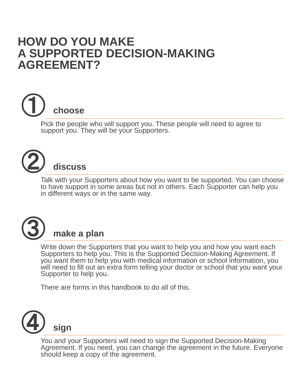## <span id="page-2-0"></span>**HOW DO YOU MAKE A SUPPORTED DECISION-MAKING AGREEMENT?**



Pick the people who will support you. These people will need to agree to support you. They will be your Supporters.

# ② **discuss**

Talk with your Supporters about how you want to be supported. You can choose to have support in some areas but not in others. Each Supporter can help you in different ways or in the same way.



Write down the Supporters that you want to help you and how you want each Supporters to help you. This is the Supported Decision-Making Agreement. If you want them to help you with medical information or school information, you will need to fill out an extra form telling your doctor or school that you want your Supporter to help you.

There are forms in this handbook to do all of this.



You and your Supporters will need to sign the Supported Decision-Making Agreement. If you need, you can change the agreement in the future. Everyone should keep a copy of the agreement.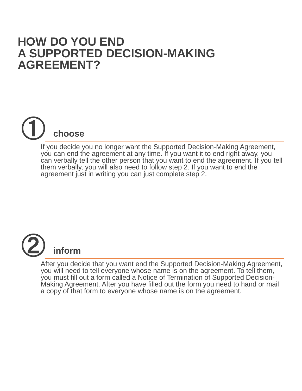# <span id="page-3-0"></span>**HOW DO YOU END<br>A SUPPORTED DECISION-MAKING AGREEMENT?**



If you decide you no longer want the Supported Decision-Making Agreement, you can end the agreement at any time. If you want it to end right away, you can verbally tell the other person that you want to end the agreement. If you tell them verbally, you will also need to follow step 2. If you want to end the agreement just in writing you can just complete step 2.



After you decide that you want end the Supported Decision-Making Agreement, you will need to tell everyone whose name is on the agreement. To tell them, you must fill out a form called a Notice of Termination of Supported Decision-<br>Making Agreement. After you have filled out the form you need to hand or mail a copy of that form to everyone whose name is on the agreement.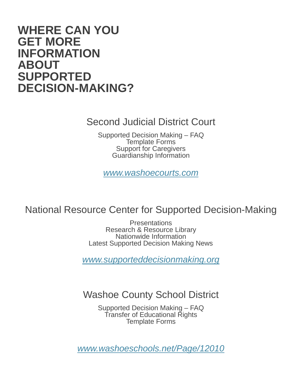## **WHERE CAN YOU GET MORE INFORMATION ABOUT SUPPORTED DECISION-MAKING?**

## Second Judicial District Court

Supported Decision Making – FAQ Template Forms Support for Caregivers Guardianship Information

*[www.washoecourts.com](http://www.washoecourts.com/)*

## National Resource Center for Supported Decision-Making

**Presentations** Research & Resource Library Nationwide Information Latest Supported Decision Making News

*[www.supporteddecisionmaking.org](http://www.supporteddecisionmaking.org/)*

## Washoe County School District

Supported Decision Making – FAQ Transfer of Educational Rights Template Forms

*[www.washoeschools.net/Page/12010](http://www.washoeschools.net/Page/12010)*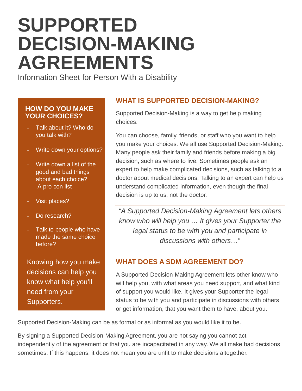# <span id="page-6-0"></span>**SUPPORTED DECISION-MAKING AGREEMENTS**

Information Sheet for Person With a Disability

#### **HOW DO YOU MAKE YOUR CHOICES?**

- Talk about it? Who do you talk with?
- Write down your options?
- Write down a list of the good and bad things about each choice? A pro con list
- Visit places?
- Do research?
- Talk to people who have made the same choice before?

Knowing how you make decisions can help you know what help you'll need from your Supporters.

### **WHAT IS SUPPORTED DECISION-MAKING?**

Supported Decision-Making is a way to get help making choices.

You can choose, family, friends, or staff who you want to help you make your choices. We all use Supported Decision-Making. Many people ask their family and friends before making a big decision, such as where to live. Sometimes people ask an expert to help make complicated decisions, such as talking to a doctor about medical decisions. Talking to an expert can help us understand complicated information, even though the final decision is up to us, not the doctor.

*"A Supported Decision-Making Agreement lets others know who will help you … It gives your Supporter the legal status to be with you and participate in discussions with others…"*

#### **WHAT DOES A SDM AGREEMENT DO?**

A Supported Decision-Making Agreement lets other know who will help you, with what areas you need support, and what kind of support you would like. It gives your Supporter the legal status to be with you and participate in discussions with others or get information, that you want them to have, about you.

Supported Decision-Making can be as formal or as informal as you would like it to be.

By signing a Supported Decision-Making Agreement, you are not saying you cannot act independently of the agreement or that you are incapacitated in any way. We all make bad decisions sometimes. If this happens, it does not mean you are unfit to make decisions altogether.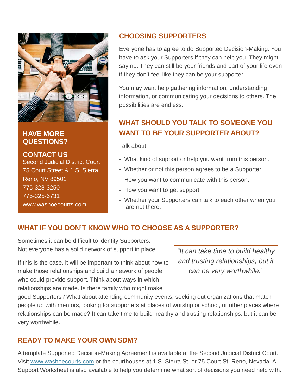

#### **HAVE MORE QUESTIONS?**

**CONTACT US** Second Judicial District Court 75 Court Street & 1 S. Sierra Reno, NV 89501 775-328-3250 775-325-6731 www.washoecourts.com

### **CHOOSING SUPPORTERS**

Everyone has to agree to do Supported Decision-Making. You have to ask your Supporters if they can help you. They might say no. They can still be your friends and part of your life even if they don't feel like they can be your supporter.

You may want help gathering information, understanding information, or communicating your decisions to others. The possibilities are endless.

### **WHAT SHOULD YOU TALK TO SOMEONE YOU WANT TO BE YOUR SUPPORTER ABOUT?**

Talk about:

- What kind of support or help you want from this person.
- Whether or not this person agrees to be a Supporter.
- How you want to communicate with this person.
- How you want to get support.
- Whether your Supporters can talk to each other when you are not there.

### **WHAT IF YOU DON'T KNOW WHO TO CHOOSE AS A SUPPORTER?**

Sometimes it can be difficult to identify Supporters. Not everyone has a solid network of support in place.

If this is the case, it will be important to think about how to make those relationships and build a network of people who could provide support. Think about ways in which relationships are made. Is there family who might make

*"It can take time to build healthy and trusting relationships, but it can be very worthwhile."*

good Supporters? What about attending community events, seeking out organizations that match people up with mentors, looking for supporters at places of worship or school, or other places where relationships can be made? It can take time to build healthy and trusting relationships, but it can be very worthwhile.

### **READY TO MAKE YOUR OWN SDM?**

A template Supported Decision-Making Agreement is available at the Second Judicial District Court. Visit [www.washoecourts.com](http://www.washoecourts.com/) or the courthouses at 1 S. Sierra St. or 75 Court St. Reno, Nevada. A Support Worksheet is also available to help you determine what sort of decisions you need help with.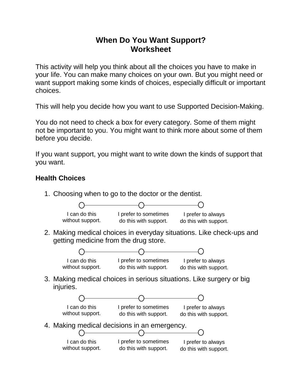### **When Do You Want Support? Worksheet**

This activity will help you think about all the choices you have to make in your life. You can make many choices on your own. But you might need or want support making some kinds of choices, especially difficult or important choices.

This will help you decide how you want to use Supported Decision-Making.

You do not need to check a box for every category. Some of them might not be important to you. You might want to think more about some of them before you decide.

If you want support, you might want to write down the kinds of support that you want.

#### **Health Choices**

without support.

1. Choosing when to go to the doctor or the dentist.



2. Making medical choices in everyday situations. Like check-ups and getting medicine from the drug store.



3. Making medical choices in serious situations. Like surgery or big injuries.



do this with support.

do this with support.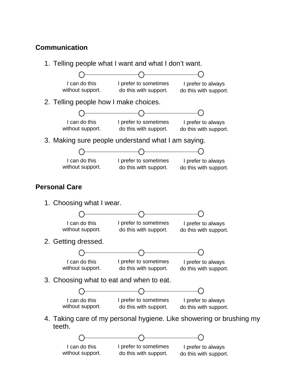#### **Communication**

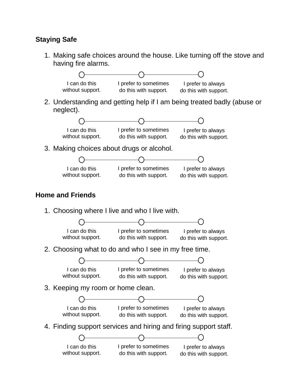#### **Staying Safe**

1. Making safe choices around the house. Like turning off the stove and having fire alarms.



2. Understanding and getting help if I am being treated badly (abuse or neglect).

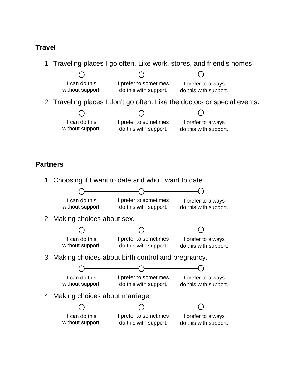#### **Travel**

1. Traveling places I go often. Like work, stores, and friend's homes.



#### **Partners**

1. Choosing if I want to date and who I want to date.

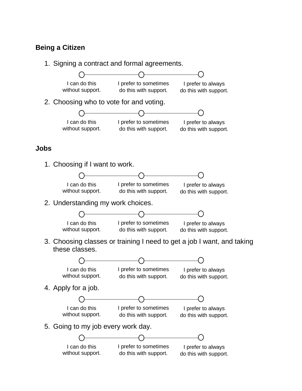#### **Being a Citizen**

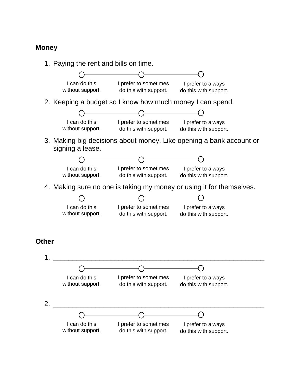#### **Money**

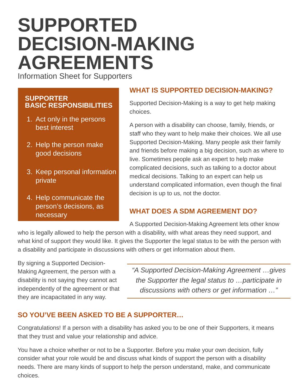# <span id="page-14-0"></span>**SUPPORTED DECISION-MAKING AGREEMENTS**

Information Sheet for Supporters

#### **SUPPORTER BASIC RESPONSIBILITIES**

- 1. Act only in the persons best interest
- 2. Help the person make good decisions
- 3. Keep personal information private
- 4. Help communicate the person's decisions, as necessary

### **WHAT IS SUPPORTED DECISION-MAKING?**

Supported Decision-Making is a way to get help making choices.

A person with a disability can choose, family, friends, or staff who they want to help make their choices. We all use Supported Decision-Making. Many people ask their family and friends before making a big decision, such as where to live. Sometimes people ask an expert to help make complicated decisions, such as talking to a doctor about medical decisions. Talking to an expert can help us understand complicated information, even though the final decision is up to us, not the doctor.

#### **WHAT DOES A SDM AGREEMENT DO?**

A Supported Decision-Making Agreement lets other know

who is legally allowed to help the person with a disability, with what areas they need support, and what kind of support they would like. It gives the Supporter the legal status to be with the person with a disability and participate in discussions with others or get information about them.

By signing a Supported Decision-Making Agreement, the person with a disability is not saying they cannot act independently of the agreement or that they are incapacitated in any way.

*"A Supported Decision-Making Agreement …gives the Supporter the legal status to …participate in discussions with others or get information …"* 

### **SO YOU'VE BEEN ASKED TO BE A SUPPORTER…**

Congratulations! If a person with a disability has asked you to be one of their Supporters, it means that they trust and value your relationship and advice.

You have a choice whether or not to be a Supporter. Before you make your own decision, fully consider what your role would be and discuss what kinds of support the person with a disability needs. There are many kinds of support to help the person understand, make, and communicate choices.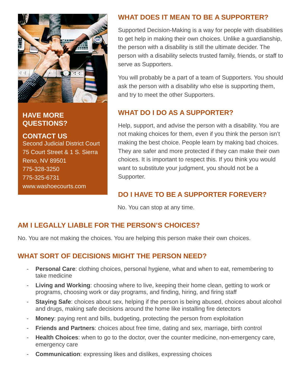

#### **HAVE MORE QUESTIONS?**

**CONTACT US** Second Judicial District Court 75 Court Street & 1 S. Sierra Reno, NV 89501 775-328-3250 775-325-6731 www.washoecourts.com

#### **WHAT DOES IT MEAN TO BE A SUPPORTER?**

Supported Decision-Making is a way for people with disabilities to get help in making their own choices. Unlike a guardianship, the person with a disability is still the ultimate decider. The person with a disability selects trusted family, friends, or staff to serve as Supporters.

You will probably be a part of a team of Supporters. You should ask the person with a disability who else is supporting them, and try to meet the other Supporters.

#### **WHAT DO I DO AS A SUPPORTER?**

Help, support, and advise the person with a disability. You are not making choices for them, even if you think the person isn't making the best choice. People learn by making bad choices. They are safer and more protected if they can make their own choices. It is important to respect this. If you think you would want to substitute your judgment, you should not be a Supporter.

#### **DO I HAVE TO BE A SUPPORTER FOREVER?**

No. You can stop at any time.

#### **AM I LEGALLY LIABLE FOR THE PERSON'S CHOICES?**

No. You are not making the choices. You are helping this person make their own choices.

#### **WHAT SORT OF DECISIONS MIGHT THE PERSON NEED?**

- **Personal Care:** clothing choices, personal hygiene, what and when to eat, remembering to take medicine
- **Living and Working:** choosing where to live, keeping their home clean, getting to work or programs, choosing work or day programs, and finding, hiring, and firing staff
- **Staying Safe**: choices about sex, helping if the person is being abused, choices about alcohol and drugs, making safe decisions around the home like installing fire detectors
- **Money:** paying rent and bills, budgeting, protecting the person from exploitation
- **Friends and Partners:** choices about free time, dating and sex, marriage, birth control
- **Health Choices**: when to go to the doctor, over the counter medicine, non-emergency care, emergency care
- **Communication:** expressing likes and dislikes, expressing choices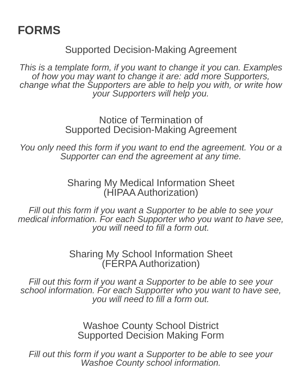# **FORMS**

## Supported Decision-Making Agreement

*This is a template form, if you want to change it you can. Examples of how you may want to change it are: add more Supporters, change what the Supporters are able to help you with, or write how your Supporters will help you.*

> Notice of Termination of Supported Decision-Making Agreement

You only need this form if you want to end the agreement. You or a *Supporter can end the agreement at any time.*

> Sharing My Medical Information Sheet (HIPAA Authorization)

*Fill out this form if you want a Supporter to be able to see your medical information. For each Supporter who you want to have see, you will need to fill a form out.* 

> Sharing My School Information Sheet (FERPA Authorization)

*Fill out this form if you want a Supporter to be able to see your school information. For each Supporter who you want to have see, you will need to fill a form out.* 

> Washoe County School District Supported Decision Making Form

*Fill out this form if you want a Supporter to be able to see your Washoe County school information.*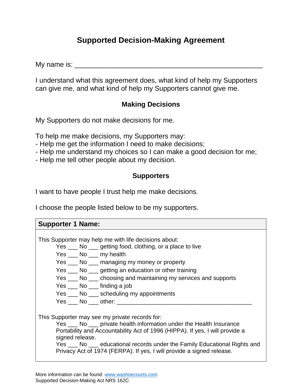## **Supported Decision-Making Agreement**

<span id="page-18-0"></span>My name is: \_\_\_\_\_\_\_\_\_\_\_\_\_\_\_\_\_\_\_\_\_\_\_\_\_\_\_\_\_\_\_\_\_\_\_\_\_\_\_\_\_\_\_\_\_\_\_\_\_

I understand what this agreement does, what kind of help my Supporters can give me, and what kind of help my Supporters cannot give me.

#### **Making Decisions**

My Supporters do not make decisions for me.

To help me make decisions, my Supporters may:

- Help me get the information I need to make decisions;
- Help me understand my choices so I can make a good decision for me;
- Help me tell other people about my decision.

#### **Supporters**

I want to have people I trust help me make decisions.

I choose the people listed below to be my supporters.

| <b>Supporter 1 Name:</b>                                                                                                                                                                                                                                                                                                                                                                                                                 |
|------------------------------------------------------------------------------------------------------------------------------------------------------------------------------------------------------------------------------------------------------------------------------------------------------------------------------------------------------------------------------------------------------------------------------------------|
| This Supporter may help me with life decisions about:<br>Yes ____ No ____ getting food, clothing, or a place to live<br>Yes ____ No ____ my health<br>Yes ___ No ___ managing my money or property<br>Yes ___ No ___ getting an education or other training<br>Yes ___ No ___ choosing and maintaining my services and supports<br>Yes ___ No ___ finding a job<br>Yes ___ No ___ scheduling my appointments<br>Yes ___ No ___ other: __ |
| This Supporter may see my private records for:<br>Yes __ No __ private health information under the Health Insurance<br>Portability and Accountability Act of 1996 (HIPPA). If yes, I will provide a<br>signed release.<br>Yes <sub>___</sub> _ No ____ educational records under the Family Educational Rights and<br>Privacy Act of 1974 (FERPA). If yes, I will provide a signed release.                                             |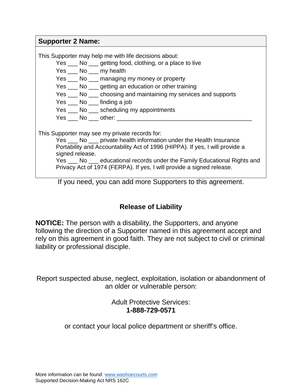| <b>Supporter 2 Name:</b>                                                                                                                                                                                                                                                                                                                                                                                                    |  |  |  |  |
|-----------------------------------------------------------------------------------------------------------------------------------------------------------------------------------------------------------------------------------------------------------------------------------------------------------------------------------------------------------------------------------------------------------------------------|--|--|--|--|
| This Supporter may help me with life decisions about:<br>Yes ____ No ____ getting food, clothing, or a place to live<br>Yes ___ No ___ my health<br>Yes ___ No ___ managing my money or property<br>Yes __ No __ getting an education or other training<br>Yes ____ No ____ choosing and maintaining my services and supports<br>Yes __ No __ finding a job<br>Yes ____ No ____ scheduling my appointments<br>Yes No other: |  |  |  |  |
| This Supporter may see my private records for:<br>Yes ____ No ____ private health information under the Health Insurance<br>Portability and Accountability Act of 1996 (HIPPA). If yes, I will provide a<br>signed release.<br>Yes <sub>___</sub> _ No ____ educational records under the Family Educational Rights and<br>Privacy Act of 1974 (FERPA). If yes, I will provide a signed release.                            |  |  |  |  |

If you need, you can add more Supporters to this agreement.

#### **Release of Liability**

**NOTICE:** The person with a disability, the Supporters, and anyone following the direction of a Supporter named in this agreement accept and rely on this agreement in good faith. They are not subject to civil or criminal liability or professional disciple.

Report suspected abuse, neglect, exploitation, isolation or abandonment of an older or vulnerable person:

#### Adult Protective Services: **1-888-729-0571**

or contact your local police department or sheriff's office.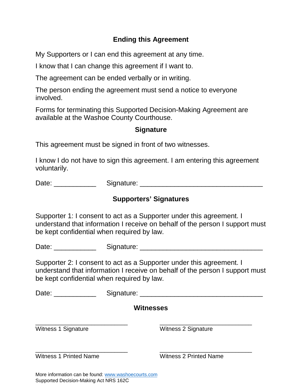#### **Ending this Agreement**

My Supporters or I can end this agreement at any time.

I know that I can change this agreement if I want to.

The agreement can be ended verbally or in writing.

The person ending the agreement must send a notice to everyone involved.

Forms for terminating this Supported Decision-Making Agreement are available at the Washoe County Courthouse.

#### **Signature**

This agreement must be signed in front of two witnesses.

I know I do not have to sign this agreement. I am entering this agreement voluntarily.

Date: \_\_\_\_\_\_\_\_\_\_\_ Signature: \_\_\_\_\_\_\_\_\_\_\_\_\_\_\_\_\_\_\_\_\_\_\_\_\_\_\_\_\_\_\_\_

#### **Supporters' Signatures**

Supporter 1: I consent to act as a Supporter under this agreement. I understand that information I receive on behalf of the person I support must be kept confidential when required by law.

Date: \_\_\_\_\_\_\_\_\_\_\_ Signature: \_\_\_\_\_\_\_\_\_\_\_\_\_\_\_\_\_\_\_\_\_\_\_\_\_\_\_\_\_\_\_\_

Supporter 2: I consent to act as a Supporter under this agreement. I understand that information I receive on behalf of the person I support must be kept confidential when required by law.

| Signature: _______________________<br>Date: the contract of the contract of the contract of the contract of the contract of the contract of the contract of the contract of the contract of the contract of the contract of the contract of the contract of the cont |                               |  |  |  |  |
|----------------------------------------------------------------------------------------------------------------------------------------------------------------------------------------------------------------------------------------------------------------------|-------------------------------|--|--|--|--|
| <b>Witnesses</b>                                                                                                                                                                                                                                                     |                               |  |  |  |  |
| <b>Witness 1 Signature</b>                                                                                                                                                                                                                                           | <b>Witness 2 Signature</b>    |  |  |  |  |
| <b>Witness 1 Printed Name</b>                                                                                                                                                                                                                                        | <b>Witness 2 Printed Name</b> |  |  |  |  |

More information can be found: [www.washoecourts.com](http://www.washoecourts.com/SDM) Supported Decision-Making Act NRS 162C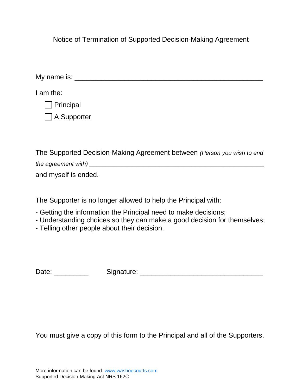<span id="page-24-0"></span>Notice of Termination of Supported Decision-Making Agreement

My name is: \_\_\_\_\_\_\_\_\_\_\_\_\_\_\_\_\_\_\_\_\_\_\_\_\_\_\_\_\_\_\_\_\_\_\_\_\_\_\_\_\_\_\_\_\_\_\_\_\_

I am the:

**Principal** 

A Supporter

The Supported Decision-Making Agreement between *(Person you wish to end the agreement with)* \_\_\_\_\_\_\_\_\_\_\_\_\_\_\_\_\_\_\_\_\_\_\_\_\_\_\_\_\_\_\_\_\_\_\_\_\_\_\_\_\_\_\_\_\_\_\_\_\_\_\_\_\_ and myself is ended.

The Supporter is no longer allowed to help the Principal with:

- Getting the information the Principal need to make decisions;
- Understanding choices so they can make a good decision for themselves;
- Telling other people about their decision.

Date: \_\_\_\_\_\_\_\_\_ Signature: \_\_\_\_\_\_\_\_\_\_\_\_\_\_\_\_\_\_\_\_\_\_\_\_\_\_\_\_\_\_\_\_

You must give a copy of this form to the Principal and all of the Supporters.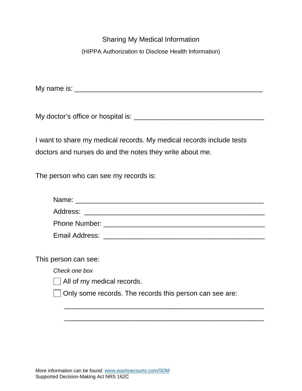#### Sharing My Medical Information

(HIPPA Authorization to Disclose Health Information)

<span id="page-26-0"></span>My name is: **with a set of the set of the set of the set of the set of the set of the set of the set of the set of the set of the set of the set of the set of the set of the set of the set of the set of the set of the set** 

My doctor's office or hospital is: **We are all the set of the set of the set of the set of the set of the set of the set of the set of the set of the set of the set of the set of the set of the set of the set of the set of** 

I want to share my medical records. My medical records include tests doctors and nurses do and the notes they write about me.

The person who can see my records is:

| Name:                |  |
|----------------------|--|
| Address:             |  |
| <b>Phone Number:</b> |  |
| Email Address:       |  |

This person can see:

*Check one box*

All of my medical records.

 $\Box$  Only some records. The records this person can see are:

\_\_\_\_\_\_\_\_\_\_\_\_\_\_\_\_\_\_\_\_\_\_\_\_\_\_\_\_\_\_\_\_\_\_\_\_\_\_\_\_\_\_\_\_\_\_\_\_\_\_\_\_

\_\_\_\_\_\_\_\_\_\_\_\_\_\_\_\_\_\_\_\_\_\_\_\_\_\_\_\_\_\_\_\_\_\_\_\_\_\_\_\_\_\_\_\_\_\_\_\_\_\_\_\_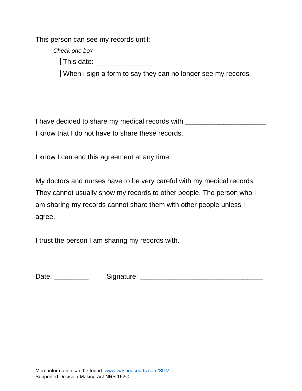This person can see my records until:

*Check one box*

 $\vert \ \ \vert$  This date:  $\vert$ 

 $\Box$  When I sign a form to say they can no longer see my records.

I have decided to share my medical records with \_\_\_\_\_\_\_\_\_\_\_\_\_\_\_\_\_\_\_\_\_\_\_\_\_\_\_\_\_\_\_\_ I know that I do not have to share these records.

I know I can end this agreement at any time.

My doctors and nurses have to be very careful with my medical records. They cannot usually show my records to other people. The person who I am sharing my records cannot share them with other people unless I agree.

I trust the person I am sharing my records with.

Date: \_\_\_\_\_\_\_\_\_ Signature: \_\_\_\_\_\_\_\_\_\_\_\_\_\_\_\_\_\_\_\_\_\_\_\_\_\_\_\_\_\_\_\_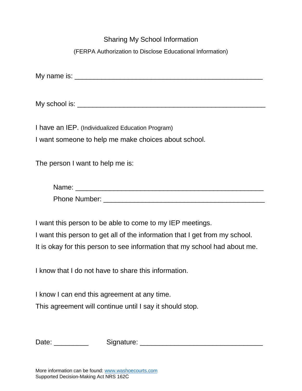#### Sharing My School Information

(FERPA Authorization to Disclose Educational Information)

<span id="page-28-0"></span>My name is: \_\_\_\_\_\_\_\_\_\_\_\_\_\_\_\_\_\_\_\_\_\_\_\_\_\_\_\_\_\_\_\_\_\_\_\_\_\_\_\_\_\_\_\_\_\_\_\_\_

My school is: \_\_\_\_\_\_\_\_\_\_\_\_\_\_\_\_\_\_\_\_\_\_\_\_\_\_\_\_\_\_\_\_\_\_\_\_\_\_\_\_\_\_\_\_\_\_\_\_\_

I have an IEP. (Individualized Education Program)

I want someone to help me make choices about school.

The person I want to help me is:

| Name: |  |  |  |
|-------|--|--|--|
|       |  |  |  |

Phone Number: \_\_\_\_\_\_\_\_\_\_\_\_\_\_\_\_\_\_\_\_\_\_\_\_\_\_\_\_\_\_\_\_\_\_\_\_\_\_\_\_\_\_

I want this person to be able to come to my IEP meetings.

I want this person to get all of the information that I get from my school.

It is okay for this person to see information that my school had about me.

I know that I do not have to share this information.

I know I can end this agreement at any time.

This agreement will continue until I say it should stop.

Date: \_\_\_\_\_\_\_\_\_ Signature: \_\_\_\_\_\_\_\_\_\_\_\_\_\_\_\_\_\_\_\_\_\_\_\_\_\_\_\_\_\_\_\_

More information can be found: www.washoecourts.com Supported Decision-Making Act NRS 162C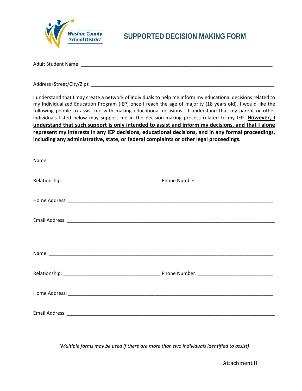<span id="page-30-0"></span>

Adult Student Name: \_\_\_\_\_\_\_\_\_\_\_\_\_\_\_\_\_\_\_\_\_\_\_\_\_\_\_\_\_\_\_\_\_\_\_\_\_\_\_\_\_\_\_\_\_\_\_\_\_\_\_\_\_\_\_\_\_\_\_\_\_\_\_\_\_\_\_\_\_\_\_

Address (Street/City/Zip): \_\_\_\_\_\_\_\_\_\_\_\_\_\_\_\_\_\_\_\_\_\_\_\_\_\_\_\_\_\_\_\_\_\_\_\_\_\_\_\_\_\_\_\_\_\_\_\_\_\_\_\_\_\_\_\_\_\_\_\_\_\_\_\_\_\_\_\_

I understand that I may create a network of individuals to help me inform my educational decisions related to my Individualized Education Program (IEP) once I reach the age of majority (18 years old). I would like the following people to assist me with making educational decisions. I understand that my parent or other individuals listed below may support me in the decision-making process related to my IEP. **However, I understand that such support is only intended to assist and inform my decisions, and that I alone represent my interests in any IEP decisions, educational decisions, and in any formal proceedings, including any administrative, state, or federal complaints or other legal proceedings.**

*(Multiple forms may be used if there are more than two individuals identified to assist)*

Attachment B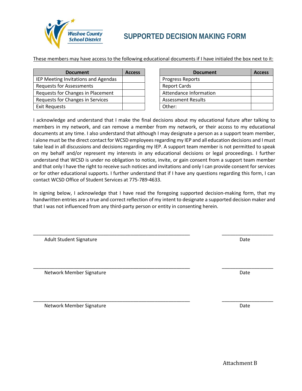

These members may have access to the following educational documents if I have initialed the box next to it:

| <b>Document</b>                     | <b>Access</b> | Document                  |
|-------------------------------------|---------------|---------------------------|
|                                     |               |                           |
| IEP Meeting Invitations and Agendas |               | <b>Progress Reports</b>   |
| <b>Requests for Assessments</b>     |               | <b>Report Cards</b>       |
| Requests for Changes in Placement   |               | Attendance Information    |
| Requests for Changes in Services    |               | <b>Assessment Results</b> |
| <b>Exit Requests</b>                |               | Other:                    |

| <b>Document</b>             | <b>Access</b> | <b>Document</b>           | <b>Access</b> |
|-----------------------------|---------------|---------------------------|---------------|
| nvitations and Agendas      |               | <b>Progress Reports</b>   |               |
| Assessments                 |               | <b>Report Cards</b>       |               |
| <b>Changes in Placement</b> |               | Attendance Information    |               |
| <b>Changes in Services</b>  |               | <b>Assessment Results</b> |               |
|                             |               | Other:                    |               |

I acknowledge and understand that I make the final decisions about my educational future after talking to members in my network, and can remove a member from my network, or their access to my educational documents at any time. I also understand that although I may designate a person as a support team member, I alone must be the direct contact for WCSD employees regarding my IEP and all education decisions and I must take lead in all discussions and decisions regarding my IEP. A support team member is not permitted to speak on my behalf and/or represent my interests in any educational decisions or legal proceedings. I further understand that WCSD is under no obligation to notice, invite, or gain consent from a support team member and that only I have the right to receive such notices and invitations and only I can provide consent for services or for other educational supports. I further understand that if I have any questions regarding this form, I can contact WCSD Office of Student Services at 775-789-4633.

In signing below, I acknowledge that I have read the foregoing supported decision-making form, that my handwritten entries are a true and correct reflection of my intent to designate a supported decision maker and that I was not influenced from any third-party person or entity in consenting herein.

\_\_\_\_\_\_\_\_\_\_\_\_\_\_\_\_\_\_\_\_\_\_\_\_\_\_\_\_\_\_\_\_\_\_\_\_\_\_\_\_\_\_\_\_\_\_\_\_\_\_\_\_\_\_\_\_\_\_ \_\_\_\_\_\_\_\_\_\_\_\_\_\_\_\_\_\_\_

Adult Student Signature **Date of Adult Student Signature** Date of Adult Student Signature Date

\_\_\_\_\_\_\_\_\_\_\_\_\_\_\_\_\_\_\_\_\_\_\_\_\_\_\_\_\_\_\_\_\_\_\_\_\_\_\_\_\_\_\_\_\_\_\_\_\_\_\_\_\_\_\_\_\_\_ \_\_\_\_\_\_\_\_\_\_\_\_\_\_\_\_\_\_\_ Network Member Signature **Date of American Control** Date Date Date Date

\_\_\_\_\_\_\_\_\_\_\_\_\_\_\_\_\_\_\_\_\_\_\_\_\_\_\_\_\_\_\_\_\_\_\_\_\_\_\_\_\_\_\_\_\_\_\_\_\_\_\_\_\_\_\_\_\_\_ \_\_\_\_\_\_\_\_\_\_\_\_\_\_\_\_\_\_\_ Network Member Signature **Date of American Control** Control of American Control Control Control Control Control Control Control Control Control Control Control Control Control Control Control Control Control Control Contro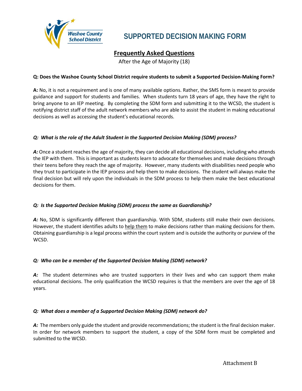

### **SUPPORTED DECISION MAKING FORM**

#### **Frequently Asked Questions**

After the Age of Majority (18)

#### **Q: Does the Washoe County School District require students to submit a Supported Decision-Making Form?**

**A:** No, it is not a requirement and is one of many available options. Rather, the SMS form is meant to provide guidance and support for students and families. When students turn 18 years of age, they have the right to bring anyone to an IEP meeting. By completing the SDM form and submitting it to the WCSD, the student is notifying district staff of the adult network members who are able to assist the student in making educational decisions as well as accessing the student's educational records.

#### *Q: What is the role of the Adult Student in the Supported Decision Making (SDM) process?*

*A:* Once a student reaches the age of majority, they can decide all educational decisions, including who attends the IEP with them. This is important as students learn to advocate for themselves and make decisions through their teens before they reach the age of majority. However, many students with disabilities need people who they trust to participate in the IEP process and help them to make decisions. The student will always make the final decision but will rely upon the individuals in the SDM process to help them make the best educational decisions for them.

#### *Q: Is the Supported Decision Making (SDM) process the same as Guardianship?*

*A:* No, SDM is significantly different than guardianship. With SDM, students still make their own decisions. However, the student identifies adults to help them to make decisions rather than making decisions for them. Obtaining guardianship is a legal process within the court system and is outside the authority or purview of the WCSD.

#### *Q: Who can be a member of the Supported Decision Making (SDM) network?*

A: The student determines who are trusted supporters in their lives and who can support them make educational decisions. The only qualification the WCSD requires is that the members are over the age of 18 years.

#### *Q: What does a member of a Supported Decision Making (SDM) network do?*

*A:* The members only guide the student and provide recommendations; the student is the final decision maker. In order for network members to support the student, a copy of the SDM form must be completed and submitted to the WCSD.

Attachment B